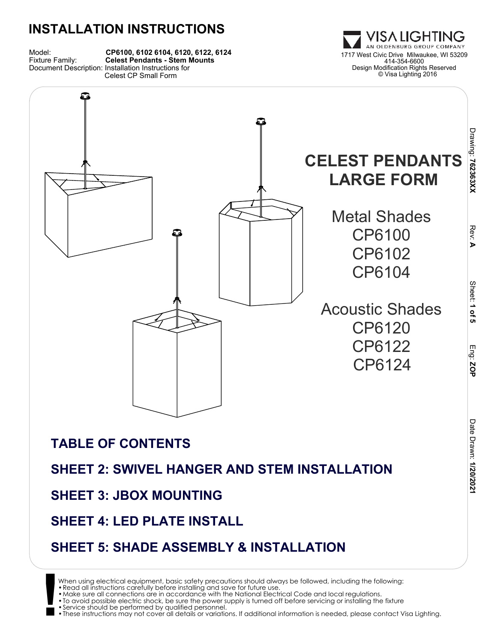



### **SHEET 3: JBOX MOUNTING**

### **SHEET 4: LED PLATE INSTALL**

### **SHEET 5: SHADE ASSEMBLY & INSTALLATION**

**!** When using electrical equipment, basic safety precautions should always be followed, including the following: •Read all instructions carefully before installing and save for future use.

•To avoid possible electric shock, be sure the power supply is turned off before servicing or installing the fixture •Service should be performed by qualified personnel.

•These instructions may not cover all details or variations. If additional information is needed, please contact Visa Lighting.

<sup>•</sup>Make sure all connections are in accordance with the National Electrical Code and local regulations.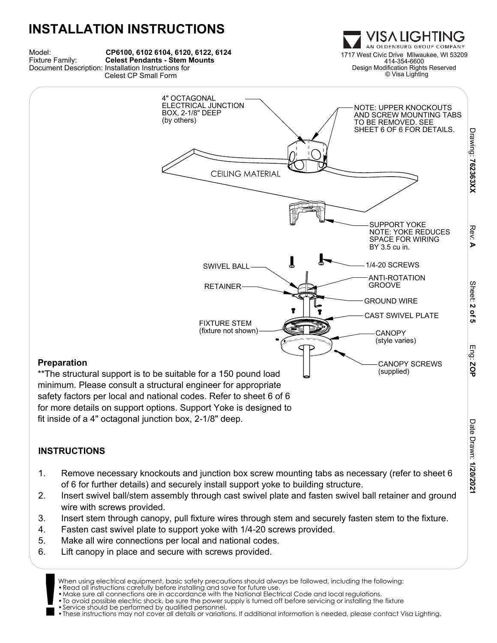#### **INSTALLATION INSTRUCTIONS** ISA LIGHTING AN OLDENBURG GROUP COMPANY Model: **CP6100, 6102 6104, 6120, 6122, 6124 CP6100, 6102 6104, 6120, 6122, 6124**<br>**Celest Pendants - Stem Mounts** 1717 West Civic Drive Milwaukee, WI 53209 414-354-6600 Design Modification Rights Reserved Document Description: Installation Instructions for Celest CP Small Form © Visa Lighting 4" OCTAGONAL ELECTRICAL JUNCTION NOTE: UPPER KNOCKOUTS BOX, 2-1/8" DEEP AND SCREW MOUNTING TABS (by others) TO BE REMOVED. SEE SHEET 6 OF 6 FOR DETAILS. CEILING MATERIAL

SWIVEL BALL-

RETAINER

FIXTURE STEM

(fixture not shown) CANOPY

#### **Preparation**

\*\*The structural support is to be suitable for a 150 pound load minimum. Please consult a structural engineer for appropriate safety factors per local and national codes. Refer to sheet 6 of 6 for more details on support options. Support Yoke is designed to fit inside of a 4" octagonal junction box, 2-1/8" deep.

### **INSTRUCTIONS**

- 1. Remove necessary knockouts and junction box screw mounting tabs as necessary (refer to sheet 6 of 6 for further details) and securely install support yoke to building structure.
- 2. Insert swivel ball/stem assembly through cast swivel plate and fasten swivel ball retainer and ground wire with screws provided.
- 3. Insert stem through canopy, pull fixture wires through stem and securely fasten stem to the fixture.
- 4. Fasten cast swivel plate to support yoke with 1/4-20 screws provided.
- 5. Make all wire connections per local and national codes.
- 6. Lift canopy in place and secure with screws provided.

•Read all instructions carefully before installing and save for future use.

•Service should be performed by qualified personnel.

Drawing: 762363XX  **762363XX**

> Rev: **A**

Sheet: 2

<u>ዒ</u>

SUPPORT YOKE NOTE: YOKE REDUCES SPACE FOR WIRING

CANOPY SCREWS

(supplied)

(style varies)

CAST SWIVEL PLATE

BY 3.5 cu in.

1/4-20 SCREWS

ANTI-ROTATION **GROOVE** 

GROUND WIRE

**<sup>!</sup>** When using electrical equipment, basic safety precautions should always be followed, including the following:

<sup>•</sup>Make sure all connections are in accordance with the National Electrical Code and local regulations. •To avoid possible electric shock, be sure the power supply is turned off before servicing or installing the fixture

<sup>•</sup>These instructions may not cover all details or variations. If additional information is needed, please contact Visa Lighting.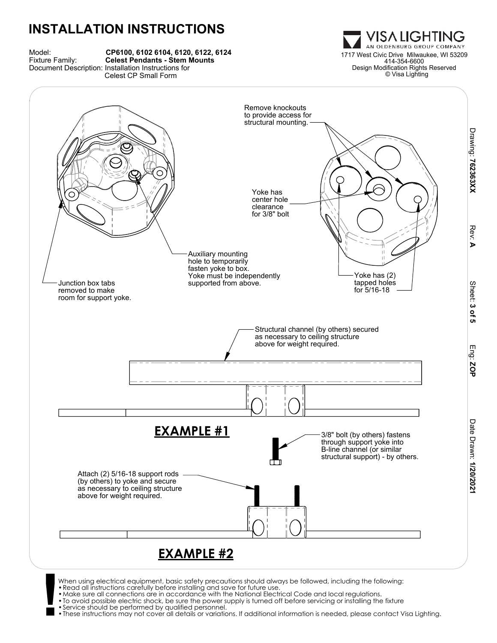

VISA LIGHTING AN OLDENBURG GROUP COMPANY 414-354-6600 Design Modification Rights Reserved © Visa Lighting



- When using electrical equipment, basic safety precautions should always be followed, including the following:<br>• Read all instructions carefully before installing and save for future use.<br>• Make sure all connections are in
	-
	-
	-
	- •These instructions may not cover all details or variations. If additional information is needed, please contact Visa Lighting.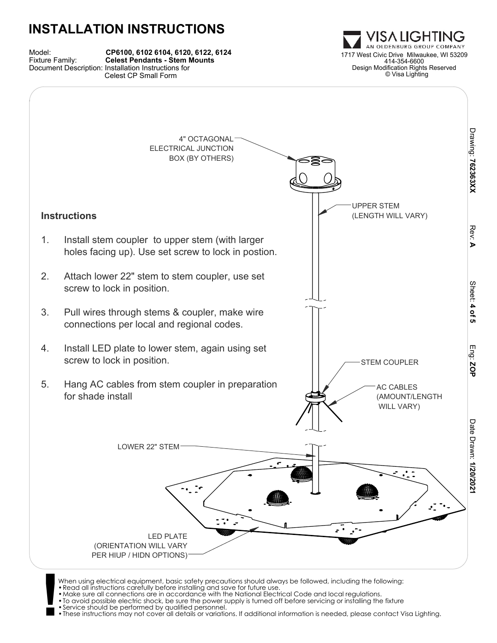| Model:<br>Fixture Family: | CP6100, 6102 6104, 6120, 6122, 6124<br><b>Celest Pendants - Stem Mounts</b> |
|---------------------------|-----------------------------------------------------------------------------|
|                           | Document Description: Installation Instructions for                         |
|                           | Celest CP Small Form                                                        |





When using electrical equipment, basic safety precautions should always be followed, including the following:<br>• Read all instructions carefully before installing and save for future use.<br>• Make sure all connections are in

- 
- •To avoid possible electric shock, be sure the power supply is turned off before servicing or installing the fixture •Service should be performed by qualified personnel.
- 

•These instructions may not cover all details or variations. If additional information is needed, please contact Visa Lighting.